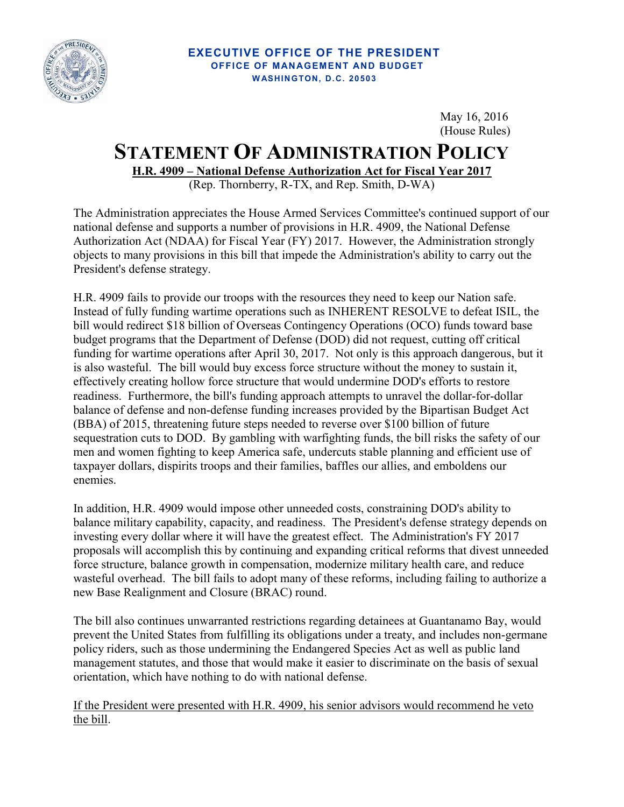

## **EXECUTIVE OFFICE OF THE PRESIDENT OFFICE OF MANAGEMENT AND BUDGET W ASHINGTON, D. C. 20503**

May 16, 2016 (House Rules)

## **STATEMENT OF ADMINISTRATION POLICY**

**H.R. 4909 – National Defense Authorization Act for Fiscal Year 2017** 

(Rep. Thornberry, R-TX, and Rep. Smith, D-WA)

The Administration appreciates the House Armed Services Committee's continued support of our national defense and supports a number of provisions in H.R. 4909, the National Defense Authorization Act (NDAA) for Fiscal Year (FY) 2017. However, the Administration strongly objects to many provisions in this bill that impede the Administration's ability to carry out the President's defense strategy.

H.R. 4909 fails to provide our troops with the resources they need to keep our Nation safe. Instead of fully funding wartime operations such as INHERENT RESOLVE to defeat ISIL, the bill would redirect \$18 billion of Overseas Contingency Operations (OCO) funds toward base budget programs that the Department of Defense (DOD) did not request, cutting off critical funding for wartime operations after April 30, 2017. Not only is this approach dangerous, but it is also wasteful. The bill would buy excess force structure without the money to sustain it, effectively creating hollow force structure that would undermine DOD's efforts to restore readiness. Furthermore, the bill's funding approach attempts to unravel the dollar-for-dollar balance of defense and non-defense funding increases provided by the Bipartisan Budget Act (BBA) of 2015, threatening future steps needed to reverse over \$100 billion of future sequestration cuts to DOD. By gambling with warfighting funds, the bill risks the safety of our men and women fighting to keep America safe, undercuts stable planning and efficient use of taxpayer dollars, dispirits troops and their families, baffles our allies, and emboldens our enemies.

In addition, H.R. 4909 would impose other unneeded costs, constraining DOD's ability to balance military capability, capacity, and readiness. The President's defense strategy depends on investing every dollar where it will have the greatest effect. The Administration's FY 2017 proposals will accomplish this by continuing and expanding critical reforms that divest unneeded force structure, balance growth in compensation, modernize military health care, and reduce wasteful overhead. The bill fails to adopt many of these reforms, including failing to authorize a new Base Realignment and Closure (BRAC) round.

The bill also continues unwarranted restrictions regarding detainees at Guantanamo Bay, would prevent the United States from fulfilling its obligations under a treaty, and includes non-germane policy riders, such as those undermining the Endangered Species Act as well as public land management statutes, and those that would make it easier to discriminate on the basis of sexual orientation, which have nothing to do with national defense.

If the President were presented with H.R. 4909, his senior advisors would recommend he veto the bill.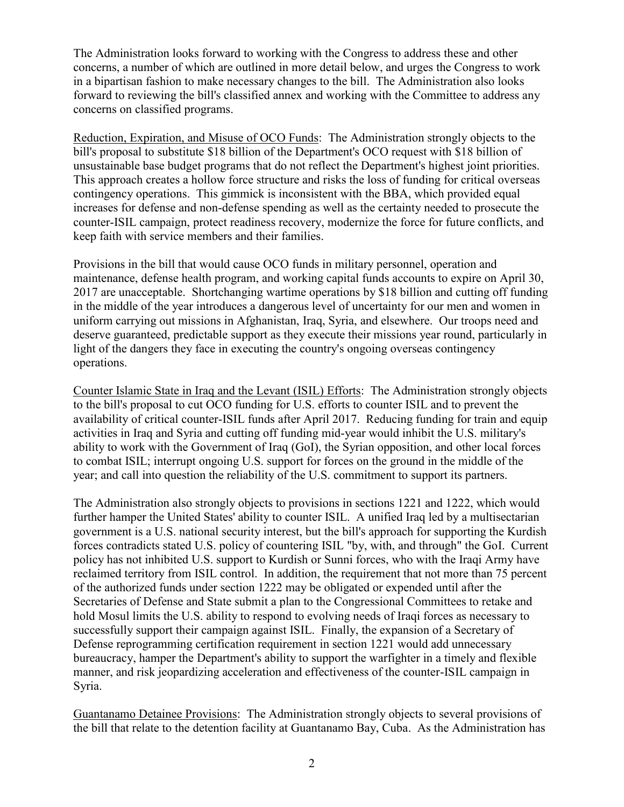The Administration looks forward to working with the Congress to address these and other concerns, a number of which are outlined in more detail below, and urges the Congress to work in a bipartisan fashion to make necessary changes to the bill. The Administration also looks forward to reviewing the bill's classified annex and working with the Committee to address any concerns on classified programs.

Reduction, Expiration, and Misuse of OCO Funds: The Administration strongly objects to the bill's proposal to substitute \$18 billion of the Department's OCO request with \$18 billion of unsustainable base budget programs that do not reflect the Department's highest joint priorities. This approach creates a hollow force structure and risks the loss of funding for critical overseas contingency operations. This gimmick is inconsistent with the BBA, which provided equal increases for defense and non-defense spending as well as the certainty needed to prosecute the counter-ISIL campaign, protect readiness recovery, modernize the force for future conflicts, and keep faith with service members and their families.

Provisions in the bill that would cause OCO funds in military personnel, operation and maintenance, defense health program, and working capital funds accounts to expire on April 30, 2017 are unacceptable. Shortchanging wartime operations by \$18 billion and cutting off funding in the middle of the year introduces a dangerous level of uncertainty for our men and women in uniform carrying out missions in Afghanistan, Iraq, Syria, and elsewhere. Our troops need and deserve guaranteed, predictable support as they execute their missions year round, particularly in light of the dangers they face in executing the country's ongoing overseas contingency operations.

Counter Islamic State in Iraq and the Levant (ISIL) Efforts: The Administration strongly objects to the bill's proposal to cut OCO funding for U.S. efforts to counter ISIL and to prevent the availability of critical counter-ISIL funds after April 2017. Reducing funding for train and equip activities in Iraq and Syria and cutting off funding mid-year would inhibit the U.S. military's ability to work with the Government of Iraq (GoI), the Syrian opposition, and other local forces to combat ISIL; interrupt ongoing U.S. support for forces on the ground in the middle of the year; and call into question the reliability of the U.S. commitment to support its partners.

The Administration also strongly objects to provisions in sections 1221 and 1222, which would further hamper the United States' ability to counter ISIL. A unified Iraq led by a multisectarian government is a U.S. national security interest, but the bill's approach for supporting the Kurdish forces contradicts stated U.S. policy of countering ISIL "by, with, and through" the GoI. Current policy has not inhibited U.S. support to Kurdish or Sunni forces, who with the Iraqi Army have reclaimed territory from ISIL control. In addition, the requirement that not more than 75 percent of the authorized funds under section 1222 may be obligated or expended until after the Secretaries of Defense and State submit a plan to the Congressional Committees to retake and hold Mosul limits the U.S. ability to respond to evolving needs of Iraqi forces as necessary to successfully support their campaign against ISIL. Finally, the expansion of a Secretary of Defense reprogramming certification requirement in section 1221 would add unnecessary bureaucracy, hamper the Department's ability to support the warfighter in a timely and flexible manner, and risk jeopardizing acceleration and effectiveness of the counter-ISIL campaign in Syria.

Guantanamo Detainee Provisions: The Administration strongly objects to several provisions of the bill that relate to the detention facility at Guantanamo Bay, Cuba. As the Administration has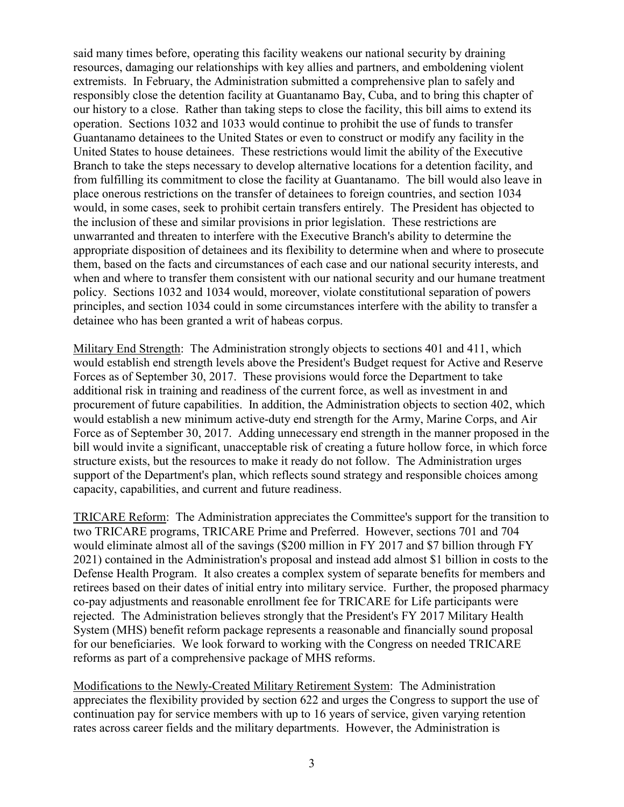said many times before, operating this facility weakens our national security by draining resources, damaging our relationships with key allies and partners, and emboldening violent extremists. In February, the Administration submitted a comprehensive plan to safely and responsibly close the detention facility at Guantanamo Bay, Cuba, and to bring this chapter of our history to a close. Rather than taking steps to close the facility, this bill aims to extend its operation. Sections 1032 and 1033 would continue to prohibit the use of funds to transfer Guantanamo detainees to the United States or even to construct or modify any facility in the United States to house detainees. These restrictions would limit the ability of the Executive Branch to take the steps necessary to develop alternative locations for a detention facility, and from fulfilling its commitment to close the facility at Guantanamo. The bill would also leave in place onerous restrictions on the transfer of detainees to foreign countries, and section 1034 would, in some cases, seek to prohibit certain transfers entirely. The President has objected to the inclusion of these and similar provisions in prior legislation. These restrictions are unwarranted and threaten to interfere with the Executive Branch's ability to determine the appropriate disposition of detainees and its flexibility to determine when and where to prosecute them, based on the facts and circumstances of each case and our national security interests, and when and where to transfer them consistent with our national security and our humane treatment policy. Sections 1032 and 1034 would, moreover, violate constitutional separation of powers principles, and section 1034 could in some circumstances interfere with the ability to transfer a detainee who has been granted a writ of habeas corpus.

Military End Strength: The Administration strongly objects to sections 401 and 411, which would establish end strength levels above the President's Budget request for Active and Reserve Forces as of September 30, 2017. These provisions would force the Department to take additional risk in training and readiness of the current force, as well as investment in and procurement of future capabilities. In addition, the Administration objects to section 402, which would establish a new minimum active-duty end strength for the Army, Marine Corps, and Air Force as of September 30, 2017. Adding unnecessary end strength in the manner proposed in the bill would invite a significant, unacceptable risk of creating a future hollow force, in which force structure exists, but the resources to make it ready do not follow. The Administration urges support of the Department's plan, which reflects sound strategy and responsible choices among capacity, capabilities, and current and future readiness.

TRICARE Reform: The Administration appreciates the Committee's support for the transition to two TRICARE programs, TRICARE Prime and Preferred. However, sections 701 and 704 would eliminate almost all of the savings (\$200 million in FY 2017 and \$7 billion through FY 2021) contained in the Administration's proposal and instead add almost \$1 billion in costs to the Defense Health Program. It also creates a complex system of separate benefits for members and retirees based on their dates of initial entry into military service. Further, the proposed pharmacy co-pay adjustments and reasonable enrollment fee for TRICARE for Life participants were rejected. The Administration believes strongly that the President's FY 2017 Military Health System (MHS) benefit reform package represents a reasonable and financially sound proposal for our beneficiaries. We look forward to working with the Congress on needed TRICARE reforms as part of a comprehensive package of MHS reforms.

Modifications to the Newly-Created Military Retirement System: The Administration appreciates the flexibility provided by section 622 and urges the Congress to support the use of continuation pay for service members with up to 16 years of service, given varying retention rates across career fields and the military departments. However, the Administration is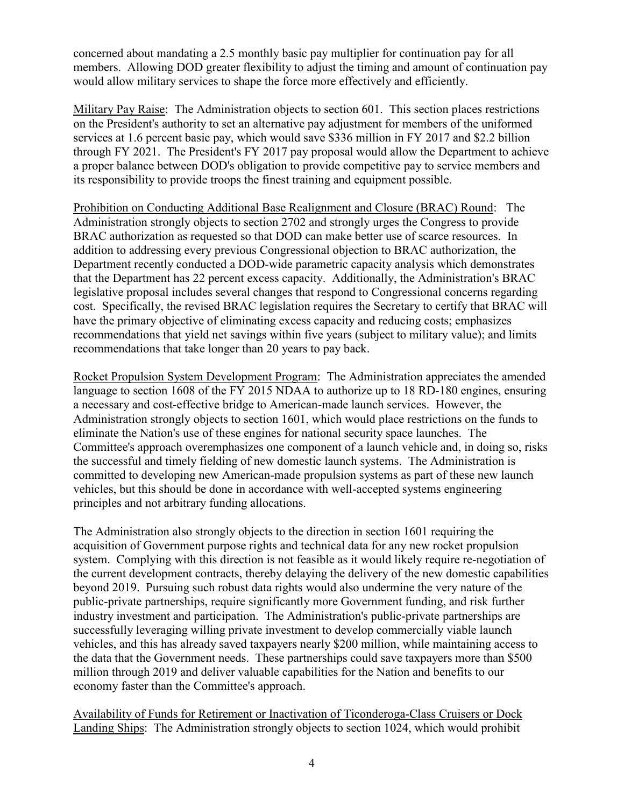concerned about mandating a 2.5 monthly basic pay multiplier for continuation pay for all members. Allowing DOD greater flexibility to adjust the timing and amount of continuation pay would allow military services to shape the force more effectively and efficiently.

Military Pay Raise: The Administration objects to section 601. This section places restrictions on the President's authority to set an alternative pay adjustment for members of the uniformed services at 1.6 percent basic pay, which would save \$336 million in FY 2017 and \$2.2 billion through FY 2021. The President's FY 2017 pay proposal would allow the Department to achieve a proper balance between DOD's obligation to provide competitive pay to service members and its responsibility to provide troops the finest training and equipment possible.

Prohibition on Conducting Additional Base Realignment and Closure (BRAC) Round: The Administration strongly objects to section 2702 and strongly urges the Congress to provide BRAC authorization as requested so that DOD can make better use of scarce resources. In addition to addressing every previous Congressional objection to BRAC authorization, the Department recently conducted a DOD-wide parametric capacity analysis which demonstrates that the Department has 22 percent excess capacity. Additionally, the Administration's BRAC legislative proposal includes several changes that respond to Congressional concerns regarding cost. Specifically, the revised BRAC legislation requires the Secretary to certify that BRAC will have the primary objective of eliminating excess capacity and reducing costs; emphasizes recommendations that yield net savings within five years (subject to military value); and limits recommendations that take longer than 20 years to pay back.

Rocket Propulsion System Development Program: The Administration appreciates the amended language to section 1608 of the FY 2015 NDAA to authorize up to 18 RD-180 engines, ensuring a necessary and cost-effective bridge to American-made launch services. However, the Administration strongly objects to section 1601, which would place restrictions on the funds to eliminate the Nation's use of these engines for national security space launches. The Committee's approach overemphasizes one component of a launch vehicle and, in doing so, risks the successful and timely fielding of new domestic launch systems. The Administration is committed to developing new American-made propulsion systems as part of these new launch vehicles, but this should be done in accordance with well-accepted systems engineering principles and not arbitrary funding allocations.

The Administration also strongly objects to the direction in section 1601 requiring the acquisition of Government purpose rights and technical data for any new rocket propulsion system. Complying with this direction is not feasible as it would likely require re-negotiation of the current development contracts, thereby delaying the delivery of the new domestic capabilities beyond 2019. Pursuing such robust data rights would also undermine the very nature of the public-private partnerships, require significantly more Government funding, and risk further industry investment and participation. The Administration's public-private partnerships are successfully leveraging willing private investment to develop commercially viable launch vehicles, and this has already saved taxpayers nearly \$200 million, while maintaining access to the data that the Government needs. These partnerships could save taxpayers more than \$500 million through 2019 and deliver valuable capabilities for the Nation and benefits to our economy faster than the Committee's approach.

Availability of Funds for Retirement or Inactivation of Ticonderoga-Class Cruisers or Dock Landing Ships: The Administration strongly objects to section 1024, which would prohibit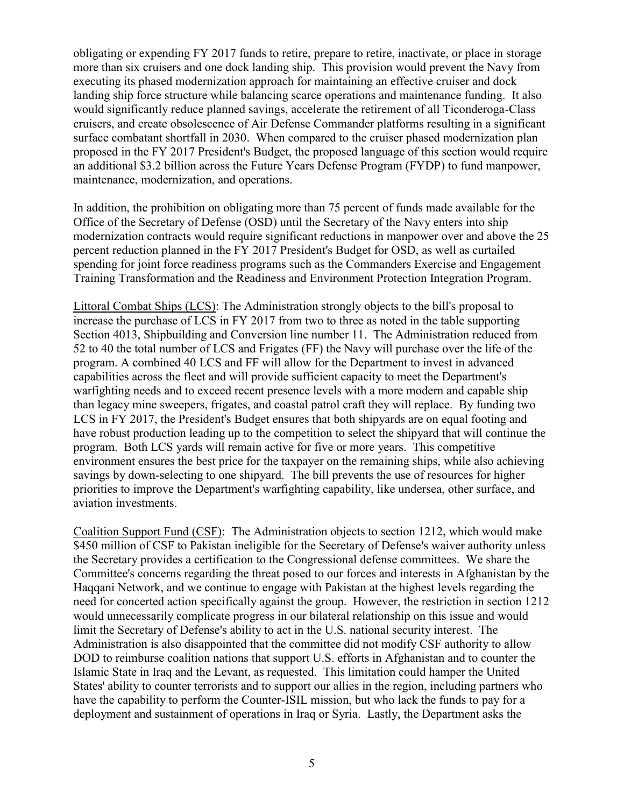obligating or expending FY 2017 funds to retire, prepare to retire, inactivate, or place in storage more than six cruisers and one dock landing ship. This provision would prevent the Navy from executing its phased modernization approach for maintaining an effective cruiser and dock landing ship force structure while balancing scarce operations and maintenance funding. It also would significantly reduce planned savings, accelerate the retirement of all Ticonderoga-Class cruisers, and create obsolescence of Air Defense Commander platforms resulting in a significant surface combatant shortfall in 2030. When compared to the cruiser phased modernization plan proposed in the FY 2017 President's Budget, the proposed language of this section would require an additional \$3.2 billion across the Future Years Defense Program (FYDP) to fund manpower, maintenance, modernization, and operations.

In addition, the prohibition on obligating more than 75 percent of funds made available for the Office of the Secretary of Defense (OSD) until the Secretary of the Navy enters into ship modernization contracts would require significant reductions in manpower over and above the 25 percent reduction planned in the FY 2017 President's Budget for OSD, as well as curtailed spending for joint force readiness programs such as the Commanders Exercise and Engagement Training Transformation and the Readiness and Environment Protection Integration Program.

Littoral Combat Ships (LCS): The Administration strongly objects to the bill's proposal to increase the purchase of LCS in FY 2017 from two to three as noted in the table supporting Section 4013, Shipbuilding and Conversion line number 11. The Administration reduced from 52 to 40 the total number of LCS and Frigates (FF) the Navy will purchase over the life of the program. A combined 40 LCS and FF will allow for the Department to invest in advanced capabilities across the fleet and will provide sufficient capacity to meet the Department's warfighting needs and to exceed recent presence levels with a more modern and capable ship than legacy mine sweepers, frigates, and coastal patrol craft they will replace. By funding two LCS in FY 2017, the President's Budget ensures that both shipyards are on equal footing and have robust production leading up to the competition to select the shipyard that will continue the program. Both LCS yards will remain active for five or more years. This competitive environment ensures the best price for the taxpayer on the remaining ships, while also achieving savings by down-selecting to one shipyard. The bill prevents the use of resources for higher priorities to improve the Department's warfighting capability, like undersea, other surface, and aviation investments.

Coalition Support Fund (CSF): The Administration objects to section 1212, which would make \$450 million of CSF to Pakistan ineligible for the Secretary of Defense's waiver authority unless the Secretary provides a certification to the Congressional defense committees. We share the Committee's concerns regarding the threat posed to our forces and interests in Afghanistan by the Haqqani Network, and we continue to engage with Pakistan at the highest levels regarding the need for concerted action specifically against the group. However, the restriction in section 1212 would unnecessarily complicate progress in our bilateral relationship on this issue and would limit the Secretary of Defense's ability to act in the U.S. national security interest. The Administration is also disappointed that the committee did not modify CSF authority to allow DOD to reimburse coalition nations that support U.S. efforts in Afghanistan and to counter the Islamic State in Iraq and the Levant, as requested. This limitation could hamper the United States' ability to counter terrorists and to support our allies in the region, including partners who have the capability to perform the Counter-ISIL mission, but who lack the funds to pay for a deployment and sustainment of operations in Iraq or Syria. Lastly, the Department asks the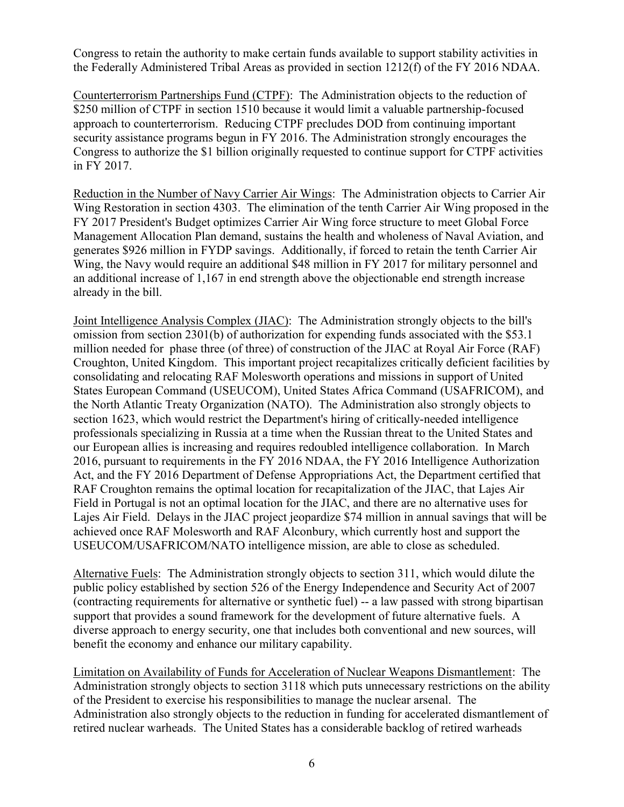Congress to retain the authority to make certain funds available to support stability activities in the Federally Administered Tribal Areas as provided in section 1212(f) of the FY 2016 NDAA.

Counterterrorism Partnerships Fund (CTPF): The Administration objects to the reduction of \$250 million of CTPF in section 1510 because it would limit a valuable partnership-focused approach to counterterrorism. Reducing CTPF precludes DOD from continuing important security assistance programs begun in FY 2016. The Administration strongly encourages the Congress to authorize the \$1 billion originally requested to continue support for CTPF activities in FY 2017.

Reduction in the Number of Navy Carrier Air Wings: The Administration objects to Carrier Air Wing Restoration in section 4303. The elimination of the tenth Carrier Air Wing proposed in the FY 2017 President's Budget optimizes Carrier Air Wing force structure to meet Global Force Management Allocation Plan demand, sustains the health and wholeness of Naval Aviation, and generates \$926 million in FYDP savings. Additionally, if forced to retain the tenth Carrier Air Wing, the Navy would require an additional \$48 million in FY 2017 for military personnel and an additional increase of 1,167 in end strength above the objectionable end strength increase already in the bill.

Joint Intelligence Analysis Complex (JIAC): The Administration strongly objects to the bill's omission from section 2301(b) of authorization for expending funds associated with the \$53.1 million needed for phase three (of three) of construction of the JIAC at Royal Air Force (RAF) Croughton, United Kingdom. This important project recapitalizes critically deficient facilities by consolidating and relocating RAF Molesworth operations and missions in support of United States European Command (USEUCOM), United States Africa Command (USAFRICOM), and the North Atlantic Treaty Organization (NATO). The Administration also strongly objects to section 1623, which would restrict the Department's hiring of critically-needed intelligence professionals specializing in Russia at a time when the Russian threat to the United States and our European allies is increasing and requires redoubled intelligence collaboration. In March 2016, pursuant to requirements in the FY 2016 NDAA, the FY 2016 Intelligence Authorization Act, and the FY 2016 Department of Defense Appropriations Act, the Department certified that RAF Croughton remains the optimal location for recapitalization of the JIAC, that Lajes Air Field in Portugal is not an optimal location for the JIAC, and there are no alternative uses for Lajes Air Field. Delays in the JIAC project jeopardize \$74 million in annual savings that will be achieved once RAF Molesworth and RAF Alconbury, which currently host and support the USEUCOM/USAFRICOM/NATO intelligence mission, are able to close as scheduled.

Alternative Fuels: The Administration strongly objects to section 311, which would dilute the public policy established by section 526 of the Energy Independence and Security Act of 2007 (contracting requirements for alternative or synthetic fuel) -- a law passed with strong bipartisan support that provides a sound framework for the development of future alternative fuels. A diverse approach to energy security, one that includes both conventional and new sources, will benefit the economy and enhance our military capability.

Limitation on Availability of Funds for Acceleration of Nuclear Weapons Dismantlement: The Administration strongly objects to section 3118 which puts unnecessary restrictions on the ability of the President to exercise his responsibilities to manage the nuclear arsenal. The Administration also strongly objects to the reduction in funding for accelerated dismantlement of retired nuclear warheads. The United States has a considerable backlog of retired warheads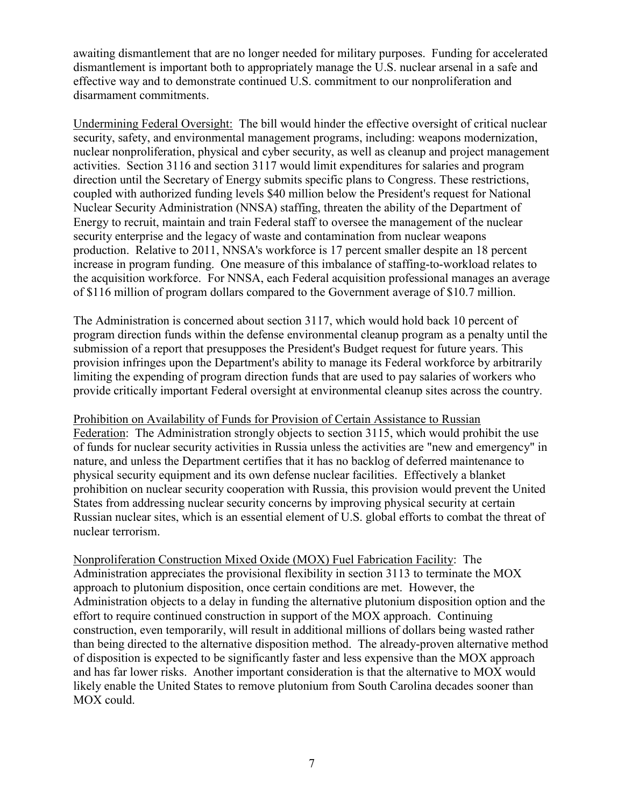awaiting dismantlement that are no longer needed for military purposes. Funding for accelerated dismantlement is important both to appropriately manage the U.S. nuclear arsenal in a safe and effective way and to demonstrate continued U.S. commitment to our nonproliferation and disarmament commitments.

Undermining Federal Oversight: The bill would hinder the effective oversight of critical nuclear security, safety, and environmental management programs, including: weapons modernization, nuclear nonproliferation, physical and cyber security, as well as cleanup and project management activities. Section 3116 and section 3117 would limit expenditures for salaries and program direction until the Secretary of Energy submits specific plans to Congress. These restrictions, coupled with authorized funding levels \$40 million below the President's request for National Nuclear Security Administration (NNSA) staffing, threaten the ability of the Department of Energy to recruit, maintain and train Federal staff to oversee the management of the nuclear security enterprise and the legacy of waste and contamination from nuclear weapons production. Relative to 2011, NNSA's workforce is 17 percent smaller despite an 18 percent increase in program funding. One measure of this imbalance of staffing-to-workload relates to the acquisition workforce. For NNSA, each Federal acquisition professional manages an average of \$116 million of program dollars compared to the Government average of \$10.7 million.

The Administration is concerned about section 3117, which would hold back 10 percent of program direction funds within the defense environmental cleanup program as a penalty until the submission of a report that presupposes the President's Budget request for future years. This provision infringes upon the Department's ability to manage its Federal workforce by arbitrarily limiting the expending of program direction funds that are used to pay salaries of workers who provide critically important Federal oversight at environmental cleanup sites across the country.

Prohibition on Availability of Funds for Provision of Certain Assistance to Russian Federation: The Administration strongly objects to section 3115, which would prohibit the use of funds for nuclear security activities in Russia unless the activities are "new and emergency" in nature, and unless the Department certifies that it has no backlog of deferred maintenance to physical security equipment and its own defense nuclear facilities. Effectively a blanket prohibition on nuclear security cooperation with Russia, this provision would prevent the United States from addressing nuclear security concerns by improving physical security at certain Russian nuclear sites, which is an essential element of U.S. global efforts to combat the threat of nuclear terrorism.

Nonproliferation Construction Mixed Oxide (MOX) Fuel Fabrication Facility: The Administration appreciates the provisional flexibility in section 3113 to terminate the MOX approach to plutonium disposition, once certain conditions are met. However, the Administration objects to a delay in funding the alternative plutonium disposition option and the effort to require continued construction in support of the MOX approach. Continuing construction, even temporarily, will result in additional millions of dollars being wasted rather than being directed to the alternative disposition method. The already-proven alternative method of disposition is expected to be significantly faster and less expensive than the MOX approach and has far lower risks. Another important consideration is that the alternative to MOX would likely enable the United States to remove plutonium from South Carolina decades sooner than MOX could.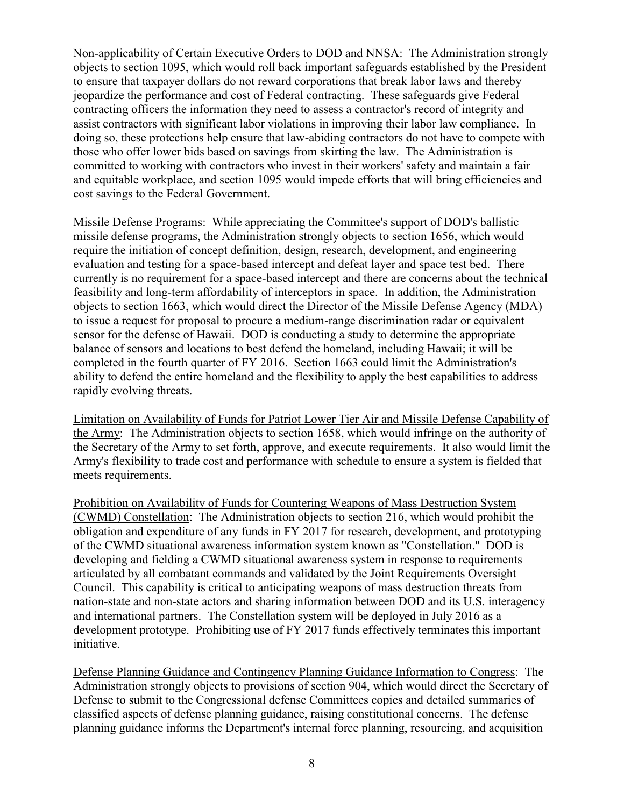Non-applicability of Certain Executive Orders to DOD and NNSA: The Administration strongly objects to section 1095, which would roll back important safeguards established by the President to ensure that taxpayer dollars do not reward corporations that break labor laws and thereby jeopardize the performance and cost of Federal contracting. These safeguards give Federal contracting officers the information they need to assess a contractor's record of integrity and assist contractors with significant labor violations in improving their labor law compliance. In doing so, these protections help ensure that law-abiding contractors do not have to compete with those who offer lower bids based on savings from skirting the law. The Administration is committed to working with contractors who invest in their workers' safety and maintain a fair and equitable workplace, and section 1095 would impede efforts that will bring efficiencies and cost savings to the Federal Government.

Missile Defense Programs: While appreciating the Committee's support of DOD's ballistic missile defense programs, the Administration strongly objects to section 1656, which would require the initiation of concept definition, design, research, development, and engineering evaluation and testing for a space-based intercept and defeat layer and space test bed. There currently is no requirement for a space-based intercept and there are concerns about the technical feasibility and long-term affordability of interceptors in space. In addition, the Administration objects to section 1663, which would direct the Director of the Missile Defense Agency (MDA) to issue a request for proposal to procure a medium-range discrimination radar or equivalent sensor for the defense of Hawaii. DOD is conducting a study to determine the appropriate balance of sensors and locations to best defend the homeland, including Hawaii; it will be completed in the fourth quarter of FY 2016. Section 1663 could limit the Administration's ability to defend the entire homeland and the flexibility to apply the best capabilities to address rapidly evolving threats.

Limitation on Availability of Funds for Patriot Lower Tier Air and Missile Defense Capability of the Army: The Administration objects to section 1658, which would infringe on the authority of the Secretary of the Army to set forth, approve, and execute requirements. It also would limit the Army's flexibility to trade cost and performance with schedule to ensure a system is fielded that meets requirements.

Prohibition on Availability of Funds for Countering Weapons of Mass Destruction System (CWMD) Constellation: The Administration objects to section 216, which would prohibit the obligation and expenditure of any funds in FY 2017 for research, development, and prototyping of the CWMD situational awareness information system known as "Constellation." DOD is developing and fielding a CWMD situational awareness system in response to requirements articulated by all combatant commands and validated by the Joint Requirements Oversight Council. This capability is critical to anticipating weapons of mass destruction threats from nation-state and non-state actors and sharing information between DOD and its U.S. interagency and international partners. The Constellation system will be deployed in July 2016 as a development prototype. Prohibiting use of FY 2017 funds effectively terminates this important initiative.

Defense Planning Guidance and Contingency Planning Guidance Information to Congress: The Administration strongly objects to provisions of section 904, which would direct the Secretary of Defense to submit to the Congressional defense Committees copies and detailed summaries of classified aspects of defense planning guidance, raising constitutional concerns. The defense planning guidance informs the Department's internal force planning, resourcing, and acquisition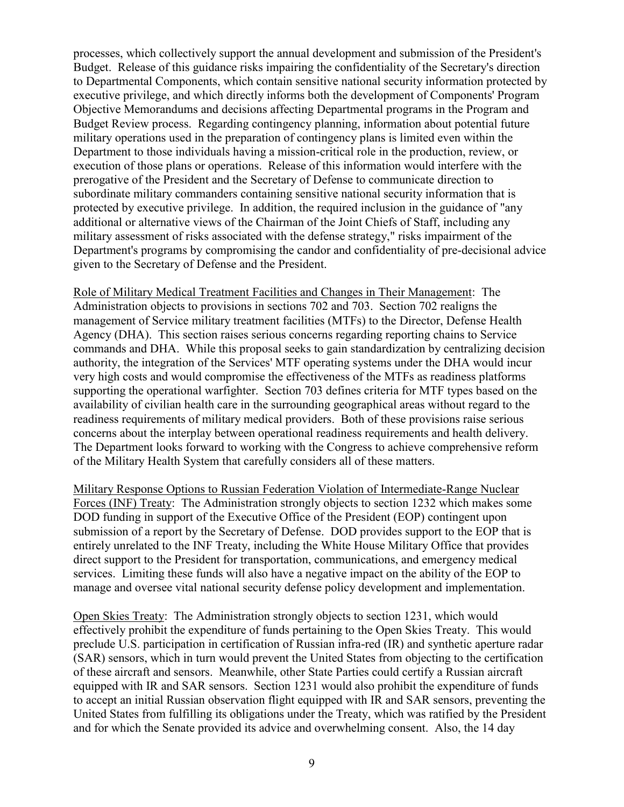processes, which collectively support the annual development and submission of the President's Budget. Release of this guidance risks impairing the confidentiality of the Secretary's direction to Departmental Components, which contain sensitive national security information protected by executive privilege, and which directly informs both the development of Components' Program Objective Memorandums and decisions affecting Departmental programs in the Program and Budget Review process. Regarding contingency planning, information about potential future military operations used in the preparation of contingency plans is limited even within the Department to those individuals having a mission-critical role in the production, review, or execution of those plans or operations. Release of this information would interfere with the prerogative of the President and the Secretary of Defense to communicate direction to subordinate military commanders containing sensitive national security information that is protected by executive privilege. In addition, the required inclusion in the guidance of "any additional or alternative views of the Chairman of the Joint Chiefs of Staff, including any military assessment of risks associated with the defense strategy," risks impairment of the Department's programs by compromising the candor and confidentiality of pre-decisional advice given to the Secretary of Defense and the President.

Role of Military Medical Treatment Facilities and Changes in Their Management: The Administration objects to provisions in sections 702 and 703. Section 702 realigns the management of Service military treatment facilities (MTFs) to the Director, Defense Health Agency (DHA). This section raises serious concerns regarding reporting chains to Service commands and DHA. While this proposal seeks to gain standardization by centralizing decision authority, the integration of the Services' MTF operating systems under the DHA would incur very high costs and would compromise the effectiveness of the MTFs as readiness platforms supporting the operational warfighter. Section 703 defines criteria for MTF types based on the availability of civilian health care in the surrounding geographical areas without regard to the readiness requirements of military medical providers. Both of these provisions raise serious concerns about the interplay between operational readiness requirements and health delivery. The Department looks forward to working with the Congress to achieve comprehensive reform of the Military Health System that carefully considers all of these matters.

Military Response Options to Russian Federation Violation of Intermediate-Range Nuclear Forces (INF) Treaty: The Administration strongly objects to section 1232 which makes some DOD funding in support of the Executive Office of the President (EOP) contingent upon submission of a report by the Secretary of Defense. DOD provides support to the EOP that is entirely unrelated to the INF Treaty, including the White House Military Office that provides direct support to the President for transportation, communications, and emergency medical services. Limiting these funds will also have a negative impact on the ability of the EOP to manage and oversee vital national security defense policy development and implementation.

Open Skies Treaty: The Administration strongly objects to section 1231, which would effectively prohibit the expenditure of funds pertaining to the Open Skies Treaty. This would preclude U.S. participation in certification of Russian infra-red (IR) and synthetic aperture radar (SAR) sensors, which in turn would prevent the United States from objecting to the certification of these aircraft and sensors. Meanwhile, other State Parties could certify a Russian aircraft equipped with IR and SAR sensors. Section 1231 would also prohibit the expenditure of funds to accept an initial Russian observation flight equipped with IR and SAR sensors, preventing the United States from fulfilling its obligations under the Treaty, which was ratified by the President and for which the Senate provided its advice and overwhelming consent. Also, the 14 day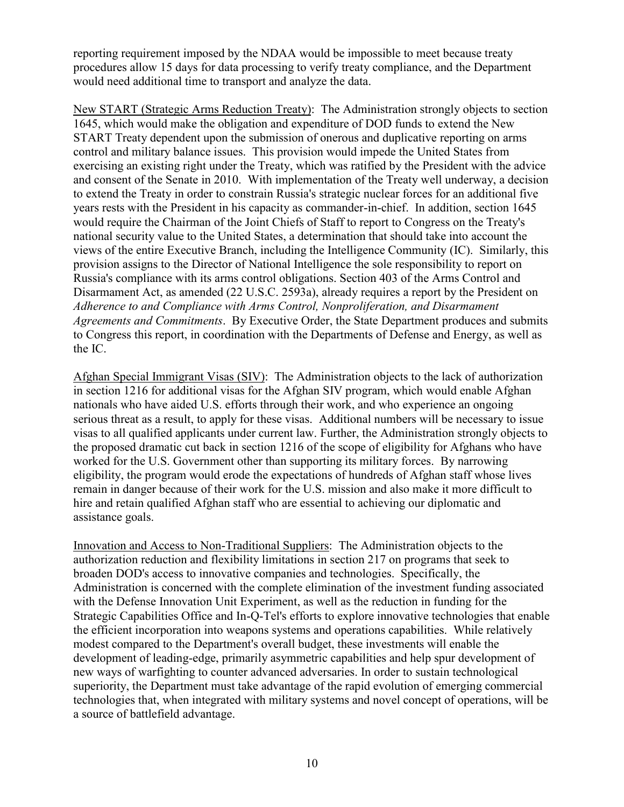reporting requirement imposed by the NDAA would be impossible to meet because treaty procedures allow 15 days for data processing to verify treaty compliance, and the Department would need additional time to transport and analyze the data.

New START (Strategic Arms Reduction Treaty): The Administration strongly objects to section 1645, which would make the obligation and expenditure of DOD funds to extend the New START Treaty dependent upon the submission of onerous and duplicative reporting on arms control and military balance issues. This provision would impede the United States from exercising an existing right under the Treaty, which was ratified by the President with the advice and consent of the Senate in 2010. With implementation of the Treaty well underway, a decision to extend the Treaty in order to constrain Russia's strategic nuclear forces for an additional five years rests with the President in his capacity as commander-in-chief. In addition, section 1645 would require the Chairman of the Joint Chiefs of Staff to report to Congress on the Treaty's national security value to the United States, a determination that should take into account the views of the entire Executive Branch, including the Intelligence Community (IC). Similarly, this provision assigns to the Director of National Intelligence the sole responsibility to report on Russia's compliance with its arms control obligations. Section 403 of the Arms Control and Disarmament Act, as amended (22 U.S.C. 2593a), already requires a report by the President on *Adherence to and Compliance with Arms Control, Nonproliferation, and Disarmament Agreements and Commitments*. By Executive Order, the State Department produces and submits to Congress this report, in coordination with the Departments of Defense and Energy, as well as the IC.

Afghan Special Immigrant Visas (SIV): The Administration objects to the lack of authorization in section 1216 for additional visas for the Afghan SIV program, which would enable Afghan nationals who have aided U.S. efforts through their work, and who experience an ongoing serious threat as a result, to apply for these visas. Additional numbers will be necessary to issue visas to all qualified applicants under current law. Further, the Administration strongly objects to the proposed dramatic cut back in section 1216 of the scope of eligibility for Afghans who have worked for the U.S. Government other than supporting its military forces. By narrowing eligibility, the program would erode the expectations of hundreds of Afghan staff whose lives remain in danger because of their work for the U.S. mission and also make it more difficult to hire and retain qualified Afghan staff who are essential to achieving our diplomatic and assistance goals.

Innovation and Access to Non-Traditional Suppliers: The Administration objects to the authorization reduction and flexibility limitations in section 217 on programs that seek to broaden DOD's access to innovative companies and technologies. Specifically, the Administration is concerned with the complete elimination of the investment funding associated with the Defense Innovation Unit Experiment, as well as the reduction in funding for the Strategic Capabilities Office and In-Q-Tel's efforts to explore innovative technologies that enable the efficient incorporation into weapons systems and operations capabilities. While relatively modest compared to the Department's overall budget, these investments will enable the development of leading-edge, primarily asymmetric capabilities and help spur development of new ways of warfighting to counter advanced adversaries. In order to sustain technological superiority, the Department must take advantage of the rapid evolution of emerging commercial technologies that, when integrated with military systems and novel concept of operations, will be a source of battlefield advantage.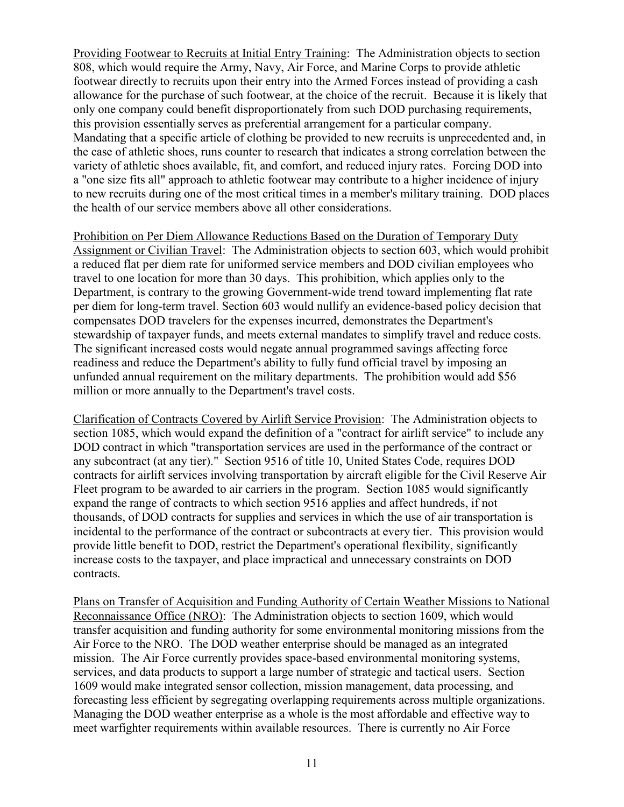Providing Footwear to Recruits at Initial Entry Training: The Administration objects to section 808, which would require the Army, Navy, Air Force, and Marine Corps to provide athletic footwear directly to recruits upon their entry into the Armed Forces instead of providing a cash allowance for the purchase of such footwear, at the choice of the recruit. Because it is likely that only one company could benefit disproportionately from such DOD purchasing requirements, this provision essentially serves as preferential arrangement for a particular company. Mandating that a specific article of clothing be provided to new recruits is unprecedented and, in the case of athletic shoes, runs counter to research that indicates a strong correlation between the variety of athletic shoes available, fit, and comfort, and reduced injury rates. Forcing DOD into a "one size fits all" approach to athletic footwear may contribute to a higher incidence of injury to new recruits during one of the most critical times in a member's military training. DOD places the health of our service members above all other considerations.

Prohibition on Per Diem Allowance Reductions Based on the Duration of Temporary Duty Assignment or Civilian Travel: The Administration objects to section 603, which would prohibit a reduced flat per diem rate for uniformed service members and DOD civilian employees who travel to one location for more than 30 days. This prohibition, which applies only to the Department, is contrary to the growing Government-wide trend toward implementing flat rate per diem for long-term travel. Section 603 would nullify an evidence-based policy decision that compensates DOD travelers for the expenses incurred, demonstrates the Department's stewardship of taxpayer funds, and meets external mandates to simplify travel and reduce costs. The significant increased costs would negate annual programmed savings affecting force readiness and reduce the Department's ability to fully fund official travel by imposing an unfunded annual requirement on the military departments. The prohibition would add \$56 million or more annually to the Department's travel costs.

Clarification of Contracts Covered by Airlift Service Provision: The Administration objects to section 1085, which would expand the definition of a "contract for airlift service" to include any DOD contract in which "transportation services are used in the performance of the contract or any subcontract (at any tier)." Section 9516 of title 10, United States Code, requires DOD contracts for airlift services involving transportation by aircraft eligible for the Civil Reserve Air Fleet program to be awarded to air carriers in the program. Section 1085 would significantly expand the range of contracts to which section 9516 applies and affect hundreds, if not thousands, of DOD contracts for supplies and services in which the use of air transportation is incidental to the performance of the contract or subcontracts at every tier. This provision would provide little benefit to DOD, restrict the Department's operational flexibility, significantly increase costs to the taxpayer, and place impractical and unnecessary constraints on DOD contracts.

Plans on Transfer of Acquisition and Funding Authority of Certain Weather Missions to National Reconnaissance Office (NRO): The Administration objects to section 1609, which would transfer acquisition and funding authority for some environmental monitoring missions from the Air Force to the NRO. The DOD weather enterprise should be managed as an integrated mission. The Air Force currently provides space-based environmental monitoring systems, services, and data products to support a large number of strategic and tactical users. Section 1609 would make integrated sensor collection, mission management, data processing, and forecasting less efficient by segregating overlapping requirements across multiple organizations. Managing the DOD weather enterprise as a whole is the most affordable and effective way to meet warfighter requirements within available resources. There is currently no Air Force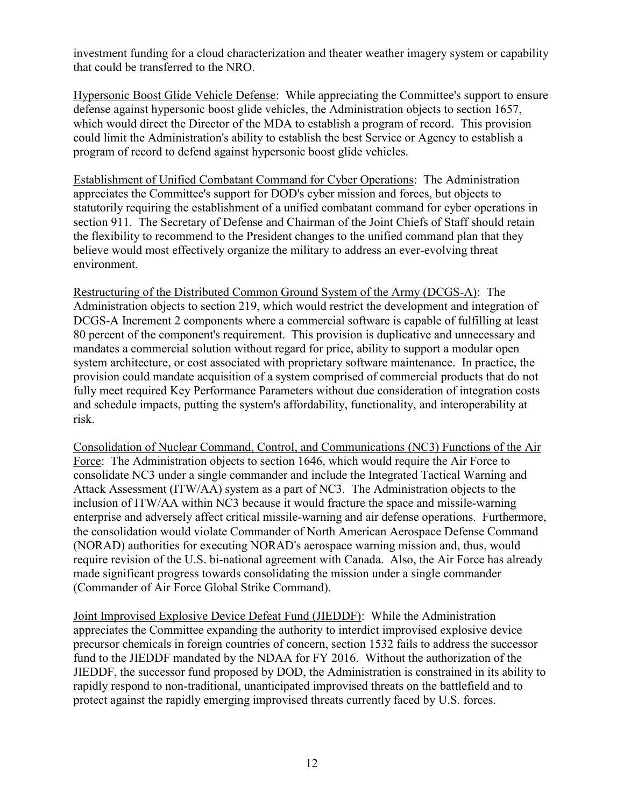investment funding for a cloud characterization and theater weather imagery system or capability that could be transferred to the NRO.

Hypersonic Boost Glide Vehicle Defense: While appreciating the Committee's support to ensure defense against hypersonic boost glide vehicles, the Administration objects to section 1657, which would direct the Director of the MDA to establish a program of record. This provision could limit the Administration's ability to establish the best Service or Agency to establish a program of record to defend against hypersonic boost glide vehicles.

Establishment of Unified Combatant Command for Cyber Operations: The Administration appreciates the Committee's support for DOD's cyber mission and forces, but objects to statutorily requiring the establishment of a unified combatant command for cyber operations in section 911. The Secretary of Defense and Chairman of the Joint Chiefs of Staff should retain the flexibility to recommend to the President changes to the unified command plan that they believe would most effectively organize the military to address an ever-evolving threat environment.

Restructuring of the Distributed Common Ground System of the Army (DCGS-A): The Administration objects to section 219, which would restrict the development and integration of DCGS-A Increment 2 components where a commercial software is capable of fulfilling at least 80 percent of the component's requirement. This provision is duplicative and unnecessary and mandates a commercial solution without regard for price, ability to support a modular open system architecture, or cost associated with proprietary software maintenance. In practice, the provision could mandate acquisition of a system comprised of commercial products that do not fully meet required Key Performance Parameters without due consideration of integration costs and schedule impacts, putting the system's affordability, functionality, and interoperability at risk.

Consolidation of Nuclear Command, Control, and Communications (NC3) Functions of the Air Force: The Administration objects to section 1646, which would require the Air Force to consolidate NC3 under a single commander and include the Integrated Tactical Warning and Attack Assessment (ITW/AA) system as a part of NC3. The Administration objects to the inclusion of ITW/AA within NC3 because it would fracture the space and missile-warning enterprise and adversely affect critical missile-warning and air defense operations. Furthermore, the consolidation would violate Commander of North American Aerospace Defense Command (NORAD) authorities for executing NORAD's aerospace warning mission and, thus, would require revision of the U.S. bi-national agreement with Canada. Also, the Air Force has already made significant progress towards consolidating the mission under a single commander (Commander of Air Force Global Strike Command).

Joint Improvised Explosive Device Defeat Fund (JIEDDF): While the Administration appreciates the Committee expanding the authority to interdict improvised explosive device precursor chemicals in foreign countries of concern, section 1532 fails to address the successor fund to the JIEDDF mandated by the NDAA for FY 2016. Without the authorization of the JIEDDF, the successor fund proposed by DOD, the Administration is constrained in its ability to rapidly respond to non-traditional, unanticipated improvised threats on the battlefield and to protect against the rapidly emerging improvised threats currently faced by U.S. forces.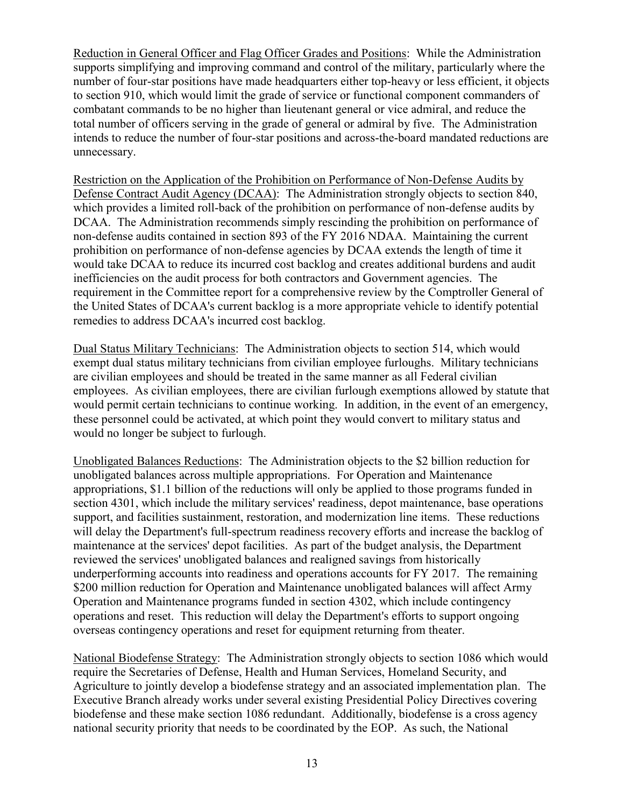Reduction in General Officer and Flag Officer Grades and Positions: While the Administration supports simplifying and improving command and control of the military, particularly where the number of four-star positions have made headquarters either top-heavy or less efficient, it objects to section 910, which would limit the grade of service or functional component commanders of combatant commands to be no higher than lieutenant general or vice admiral, and reduce the total number of officers serving in the grade of general or admiral by five. The Administration intends to reduce the number of four-star positions and across-the-board mandated reductions are unnecessary.

Restriction on the Application of the Prohibition on Performance of Non-Defense Audits by Defense Contract Audit Agency (DCAA): The Administration strongly objects to section 840, which provides a limited roll-back of the prohibition on performance of non-defense audits by DCAA. The Administration recommends simply rescinding the prohibition on performance of non-defense audits contained in section 893 of the FY 2016 NDAA. Maintaining the current prohibition on performance of non-defense agencies by DCAA extends the length of time it would take DCAA to reduce its incurred cost backlog and creates additional burdens and audit inefficiencies on the audit process for both contractors and Government agencies. The requirement in the Committee report for a comprehensive review by the Comptroller General of the United States of DCAA's current backlog is a more appropriate vehicle to identify potential remedies to address DCAA's incurred cost backlog.

Dual Status Military Technicians: The Administration objects to section 514, which would exempt dual status military technicians from civilian employee furloughs. Military technicians are civilian employees and should be treated in the same manner as all Federal civilian employees. As civilian employees, there are civilian furlough exemptions allowed by statute that would permit certain technicians to continue working. In addition, in the event of an emergency, these personnel could be activated, at which point they would convert to military status and would no longer be subject to furlough.

Unobligated Balances Reductions: The Administration objects to the \$2 billion reduction for unobligated balances across multiple appropriations. For Operation and Maintenance appropriations, \$1.1 billion of the reductions will only be applied to those programs funded in section 4301, which include the military services' readiness, depot maintenance, base operations support, and facilities sustainment, restoration, and modernization line items. These reductions will delay the Department's full-spectrum readiness recovery efforts and increase the backlog of maintenance at the services' depot facilities. As part of the budget analysis, the Department reviewed the services' unobligated balances and realigned savings from historically underperforming accounts into readiness and operations accounts for FY 2017. The remaining \$200 million reduction for Operation and Maintenance unobligated balances will affect Army Operation and Maintenance programs funded in section 4302, which include contingency operations and reset. This reduction will delay the Department's efforts to support ongoing overseas contingency operations and reset for equipment returning from theater.

National Biodefense Strategy: The Administration strongly objects to section 1086 which would require the Secretaries of Defense, Health and Human Services, Homeland Security, and Agriculture to jointly develop a biodefense strategy and an associated implementation plan. The Executive Branch already works under several existing Presidential Policy Directives covering biodefense and these make section 1086 redundant. Additionally, biodefense is a cross agency national security priority that needs to be coordinated by the EOP. As such, the National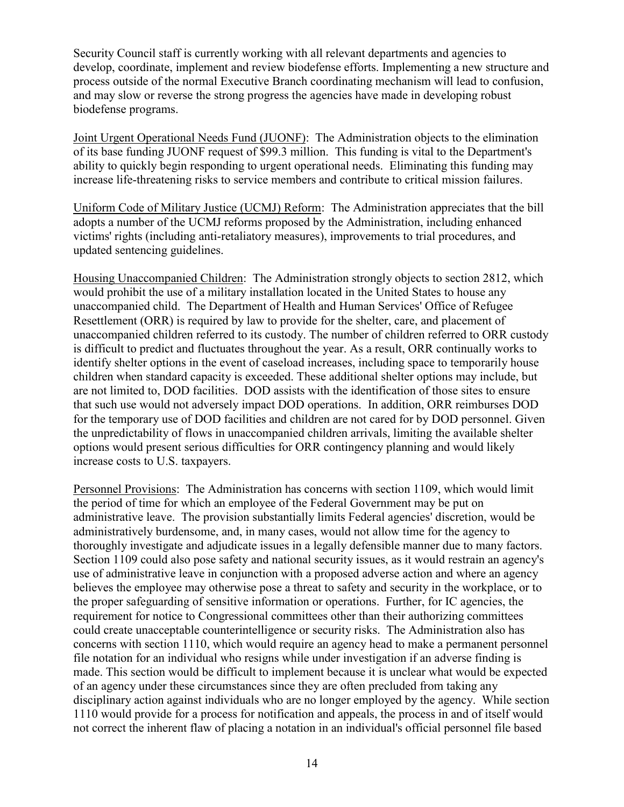Security Council staff is currently working with all relevant departments and agencies to develop, coordinate, implement and review biodefense efforts. Implementing a new structure and process outside of the normal Executive Branch coordinating mechanism will lead to confusion, and may slow or reverse the strong progress the agencies have made in developing robust biodefense programs.

Joint Urgent Operational Needs Fund (JUONF): The Administration objects to the elimination of its base funding JUONF request of \$99.3 million. This funding is vital to the Department's ability to quickly begin responding to urgent operational needs. Eliminating this funding may increase life-threatening risks to service members and contribute to critical mission failures.

Uniform Code of Military Justice (UCMJ) Reform: The Administration appreciates that the bill adopts a number of the UCMJ reforms proposed by the Administration, including enhanced victims' rights (including anti-retaliatory measures), improvements to trial procedures, and updated sentencing guidelines.

Housing Unaccompanied Children: The Administration strongly objects to section 2812, which would prohibit the use of a military installation located in the United States to house any unaccompanied child. The Department of Health and Human Services' Office of Refugee Resettlement (ORR) is required by law to provide for the shelter, care, and placement of unaccompanied children referred to its custody. The number of children referred to ORR custody is difficult to predict and fluctuates throughout the year. As a result, ORR continually works to identify shelter options in the event of caseload increases, including space to temporarily house children when standard capacity is exceeded. These additional shelter options may include, but are not limited to, DOD facilities. DOD assists with the identification of those sites to ensure that such use would not adversely impact DOD operations. In addition, ORR reimburses DOD for the temporary use of DOD facilities and children are not cared for by DOD personnel. Given the unpredictability of flows in unaccompanied children arrivals, limiting the available shelter options would present serious difficulties for ORR contingency planning and would likely increase costs to U.S. taxpayers.

Personnel Provisions: The Administration has concerns with section 1109, which would limit the period of time for which an employee of the Federal Government may be put on administrative leave. The provision substantially limits Federal agencies' discretion, would be administratively burdensome, and, in many cases, would not allow time for the agency to thoroughly investigate and adjudicate issues in a legally defensible manner due to many factors. Section 1109 could also pose safety and national security issues, as it would restrain an agency's use of administrative leave in conjunction with a proposed adverse action and where an agency believes the employee may otherwise pose a threat to safety and security in the workplace, or to the proper safeguarding of sensitive information or operations. Further, for IC agencies, the requirement for notice to Congressional committees other than their authorizing committees could create unacceptable counterintelligence or security risks. The Administration also has concerns with section 1110, which would require an agency head to make a permanent personnel file notation for an individual who resigns while under investigation if an adverse finding is made. This section would be difficult to implement because it is unclear what would be expected of an agency under these circumstances since they are often precluded from taking any disciplinary action against individuals who are no longer employed by the agency. While section 1110 would provide for a process for notification and appeals, the process in and of itself would not correct the inherent flaw of placing a notation in an individual's official personnel file based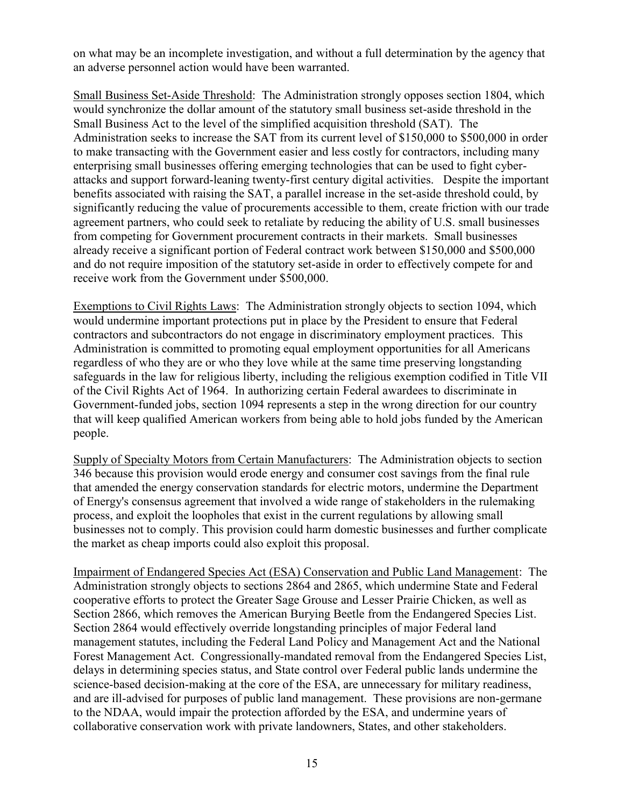on what may be an incomplete investigation, and without a full determination by the agency that an adverse personnel action would have been warranted.

Small Business Set-Aside Threshold: The Administration strongly opposes section 1804, which would synchronize the dollar amount of the statutory small business set-aside threshold in the Small Business Act to the level of the simplified acquisition threshold (SAT). The Administration seeks to increase the SAT from its current level of \$150,000 to \$500,000 in order to make transacting with the Government easier and less costly for contractors, including many enterprising small businesses offering emerging technologies that can be used to fight cyberattacks and support forward-leaning twenty-first century digital activities. Despite the important benefits associated with raising the SAT, a parallel increase in the set-aside threshold could, by significantly reducing the value of procurements accessible to them, create friction with our trade agreement partners, who could seek to retaliate by reducing the ability of U.S. small businesses from competing for Government procurement contracts in their markets. Small businesses already receive a significant portion of Federal contract work between \$150,000 and \$500,000 and do not require imposition of the statutory set-aside in order to effectively compete for and receive work from the Government under \$500,000.

Exemptions to Civil Rights Laws: The Administration strongly objects to section 1094, which would undermine important protections put in place by the President to ensure that Federal contractors and subcontractors do not engage in discriminatory employment practices. This Administration is committed to promoting equal employment opportunities for all Americans regardless of who they are or who they love while at the same time preserving longstanding safeguards in the law for religious liberty, including the religious exemption codified in Title VII of the Civil Rights Act of 1964. In authorizing certain Federal awardees to discriminate in Government-funded jobs, section 1094 represents a step in the wrong direction for our country that will keep qualified American workers from being able to hold jobs funded by the American people.

Supply of Specialty Motors from Certain Manufacturers: The Administration objects to section 346 because this provision would erode energy and consumer cost savings from the final rule that amended the energy conservation standards for electric motors, undermine the Department of Energy's consensus agreement that involved a wide range of stakeholders in the rulemaking process, and exploit the loopholes that exist in the current regulations by allowing small businesses not to comply. This provision could harm domestic businesses and further complicate the market as cheap imports could also exploit this proposal.

Impairment of Endangered Species Act (ESA) Conservation and Public Land Management: The Administration strongly objects to sections 2864 and 2865, which undermine State and Federal cooperative efforts to protect the Greater Sage Grouse and Lesser Prairie Chicken, as well as Section 2866, which removes the American Burying Beetle from the Endangered Species List. Section 2864 would effectively override longstanding principles of major Federal land management statutes, including the Federal Land Policy and Management Act and the National Forest Management Act. Congressionally-mandated removal from the Endangered Species List, delays in determining species status, and State control over Federal public lands undermine the science-based decision-making at the core of the ESA, are unnecessary for military readiness, and are ill-advised for purposes of public land management. These provisions are non-germane to the NDAA, would impair the protection afforded by the ESA, and undermine years of collaborative conservation work with private landowners, States, and other stakeholders.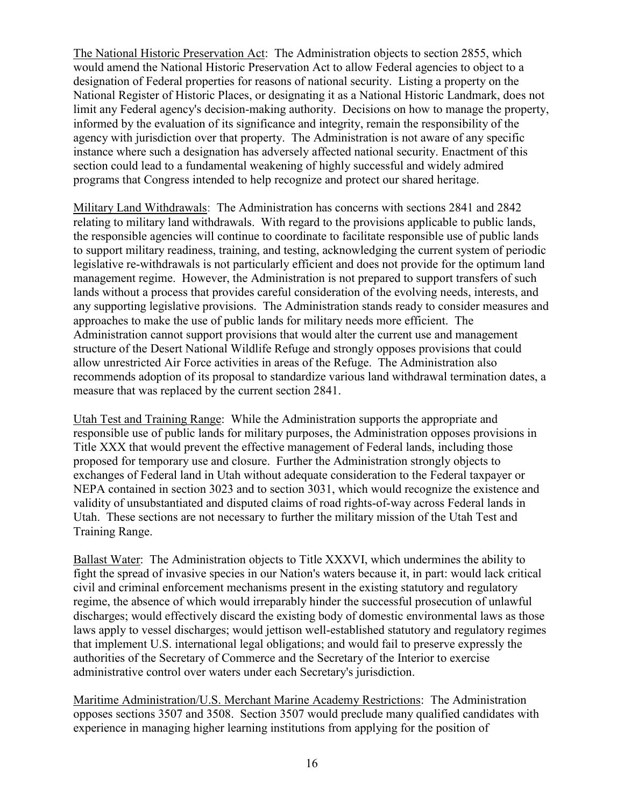The National Historic Preservation Act: The Administration objects to section 2855, which would amend the National Historic Preservation Act to allow Federal agencies to object to a designation of Federal properties for reasons of national security. Listing a property on the National Register of Historic Places, or designating it as a National Historic Landmark, does not limit any Federal agency's decision-making authority. Decisions on how to manage the property, informed by the evaluation of its significance and integrity, remain the responsibility of the agency with jurisdiction over that property. The Administration is not aware of any specific instance where such a designation has adversely affected national security. Enactment of this section could lead to a fundamental weakening of highly successful and widely admired programs that Congress intended to help recognize and protect our shared heritage.

Military Land Withdrawals: The Administration has concerns with sections 2841 and 2842 relating to military land withdrawals. With regard to the provisions applicable to public lands, the responsible agencies will continue to coordinate to facilitate responsible use of public lands to support military readiness, training, and testing, acknowledging the current system of periodic legislative re-withdrawals is not particularly efficient and does not provide for the optimum land management regime. However, the Administration is not prepared to support transfers of such lands without a process that provides careful consideration of the evolving needs, interests, and any supporting legislative provisions. The Administration stands ready to consider measures and approaches to make the use of public lands for military needs more efficient. The Administration cannot support provisions that would alter the current use and management structure of the Desert National Wildlife Refuge and strongly opposes provisions that could allow unrestricted Air Force activities in areas of the Refuge. The Administration also recommends adoption of its proposal to standardize various land withdrawal termination dates, a measure that was replaced by the current section 2841.

Utah Test and Training Range: While the Administration supports the appropriate and responsible use of public lands for military purposes, the Administration opposes provisions in Title XXX that would prevent the effective management of Federal lands, including those proposed for temporary use and closure. Further the Administration strongly objects to exchanges of Federal land in Utah without adequate consideration to the Federal taxpayer or NEPA contained in section 3023 and to section 3031, which would recognize the existence and validity of unsubstantiated and disputed claims of road rights-of-way across Federal lands in Utah. These sections are not necessary to further the military mission of the Utah Test and Training Range.

Ballast Water: The Administration objects to Title XXXVI, which undermines the ability to fight the spread of invasive species in our Nation's waters because it, in part: would lack critical civil and criminal enforcement mechanisms present in the existing statutory and regulatory regime, the absence of which would irreparably hinder the successful prosecution of unlawful discharges; would effectively discard the existing body of domestic environmental laws as those laws apply to vessel discharges; would jettison well-established statutory and regulatory regimes that implement U.S. international legal obligations; and would fail to preserve expressly the authorities of the Secretary of Commerce and the Secretary of the Interior to exercise administrative control over waters under each Secretary's jurisdiction.

Maritime Administration/U.S. Merchant Marine Academy Restrictions: The Administration opposes sections 3507 and 3508. Section 3507 would preclude many qualified candidates with experience in managing higher learning institutions from applying for the position of